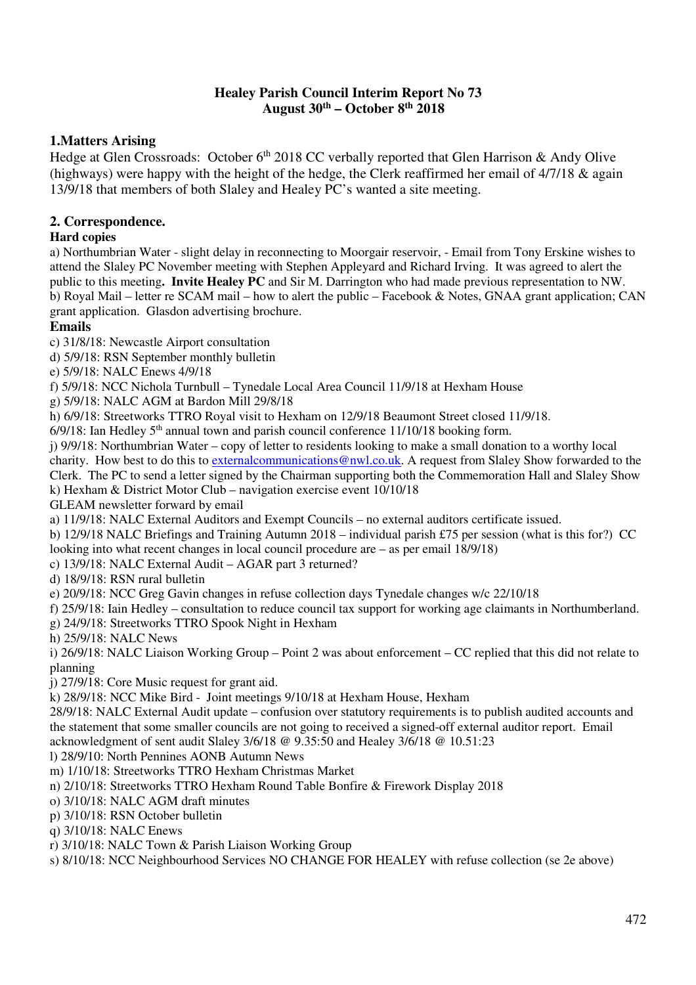#### **Healey Parish Council Interim Report No 73 August 30th – October 8th 2018**

## **1.Matters Arising**

Hedge at Glen Crossroads: October  $6<sup>th</sup>$  2018 CC verbally reported that Glen Harrison & Andy Olive (highways) were happy with the height of the hedge, the Clerk reaffirmed her email of 4/7/18 & again 13/9/18 that members of both Slaley and Healey PC's wanted a site meeting.

# **2. Correspondence.**

### **Hard copies**

a) Northumbrian Water - slight delay in reconnecting to Moorgair reservoir, - Email from Tony Erskine wishes to attend the Slaley PC November meeting with Stephen Appleyard and Richard Irving. It was agreed to alert the public to this meeting**. Invite Healey PC** and Sir M. Darrington who had made previous representation to NW. b) Royal Mail – letter re SCAM mail – how to alert the public – Facebook & Notes, GNAA grant application; CAN grant application. Glasdon advertising brochure.

### **Emails**

c) 31/8/18: Newcastle Airport consultation

d) 5/9/18: RSN September monthly bulletin

e) 5/9/18: NALC Enews 4/9/18

f) 5/9/18: NCC Nichola Turnbull – Tynedale Local Area Council 11/9/18 at Hexham House

g) 5/9/18: NALC AGM at Bardon Mill 29/8/18

h) 6/9/18: Streetworks TTRO Royal visit to Hexham on 12/9/18 Beaumont Street closed 11/9/18.

 $6/9/18$ : Ian Hedley 5<sup>th</sup> annual town and parish council conference 11/10/18 booking form.

j) 9/9/18: Northumbrian Water – copy of letter to residents looking to make a small donation to a worthy local charity. How best to do this to external communications @nwl.co.uk. A request from Slaley Show forwarded to the Clerk. The PC to send a letter signed by the Chairman supporting both the Commemoration Hall and Slaley Show k) Hexham & District Motor Club – navigation exercise event 10/10/18

GLEAM newsletter forward by email

a) 11/9/18: NALC External Auditors and Exempt Councils – no external auditors certificate issued.

b) 12/9/18 NALC Briefings and Training Autumn 2018 – individual parish £75 per session (what is this for?) CC looking into what recent changes in local council procedure are – as per email 18/9/18)

c) 13/9/18: NALC External Audit – AGAR part 3 returned?

d) 18/9/18: RSN rural bulletin

e) 20/9/18: NCC Greg Gavin changes in refuse collection days Tynedale changes w/c 22/10/18

f) 25/9/18: Iain Hedley – consultation to reduce council tax support for working age claimants in Northumberland.

g) 24/9/18: Streetworks TTRO Spook Night in Hexham

h) 25/9/18: NALC News

i) 26/9/18: NALC Liaison Working Group – Point 2 was about enforcement – CC replied that this did not relate to planning

j) 27/9/18: Core Music request for grant aid.

k) 28/9/18: NCC Mike Bird - Joint meetings 9/10/18 at Hexham House, Hexham

28/9/18: NALC External Audit update – confusion over statutory requirements is to publish audited accounts and the statement that some smaller councils are not going to received a signed-off external auditor report. Email acknowledgment of sent audit Slaley 3/6/18 @ 9.35:50 and Healey 3/6/18 @ 10.51:23

l) 28/9/10: North Pennines AONB Autumn News

m) 1/10/18: Streetworks TTRO Hexham Christmas Market

n) 2/10/18: Streetworks TTRO Hexham Round Table Bonfire & Firework Display 2018

o) 3/10/18: NALC AGM draft minutes

p) 3/10/18: RSN October bulletin

q) 3/10/18: NALC Enews

r) 3/10/18: NALC Town & Parish Liaison Working Group

s) 8/10/18: NCC Neighbourhood Services NO CHANGE FOR HEALEY with refuse collection (se 2e above)